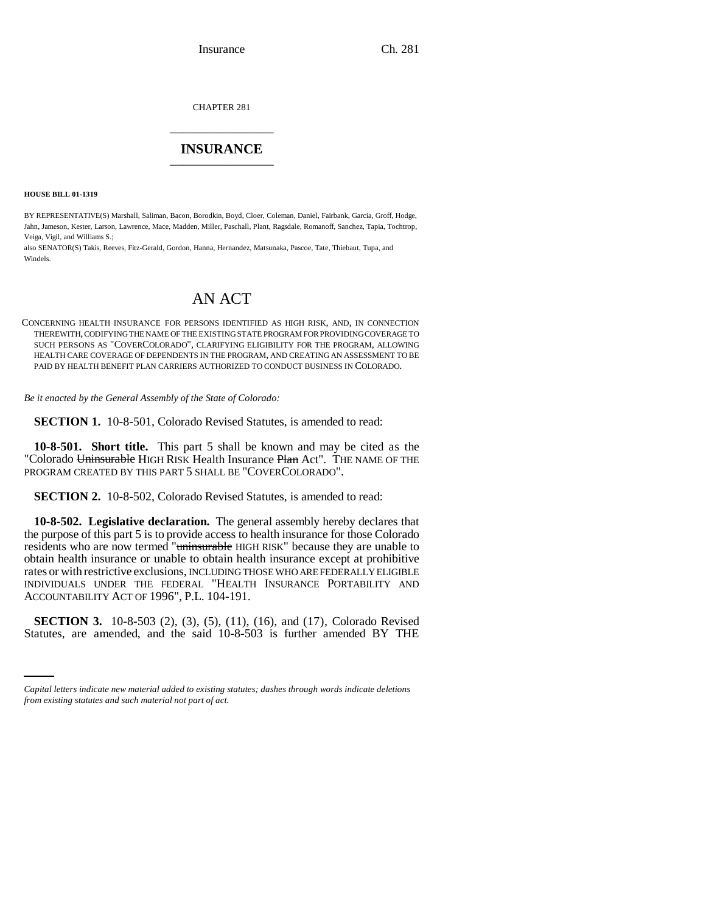CHAPTER 281 \_\_\_\_\_\_\_\_\_\_\_\_\_\_\_

# **INSURANCE** \_\_\_\_\_\_\_\_\_\_\_\_\_\_\_

**HOUSE BILL 01-1319**

BY REPRESENTATIVE(S) Marshall, Saliman, Bacon, Borodkin, Boyd, Cloer, Coleman, Daniel, Fairbank, Garcia, Groff, Hodge, Jahn, Jameson, Kester, Larson, Lawrence, Mace, Madden, Miller, Paschall, Plant, Ragsdale, Romanoff, Sanchez, Tapia, Tochtrop, Veiga, Vigil, and Williams S.;

also SENATOR(S) Takis, Reeves, Fitz-Gerald, Gordon, Hanna, Hernandez, Matsunaka, Pascoe, Tate, Thiebaut, Tupa, and Windels.

# AN ACT

CONCERNING HEALTH INSURANCE FOR PERSONS IDENTIFIED AS HIGH RISK, AND, IN CONNECTION THEREWITH, CODIFYING THE NAME OF THE EXISTING STATE PROGRAM FOR PROVIDING COVERAGE TO SUCH PERSONS AS "COVERCOLORADO", CLARIFYING ELIGIBILITY FOR THE PROGRAM, ALLOWING HEALTH CARE COVERAGE OF DEPENDENTS IN THE PROGRAM, AND CREATING AN ASSESSMENT TO BE PAID BY HEALTH BENEFIT PLAN CARRIERS AUTHORIZED TO CONDUCT BUSINESS IN COLORADO.

*Be it enacted by the General Assembly of the State of Colorado:*

**SECTION 1.** 10-8-501, Colorado Revised Statutes, is amended to read:

**10-8-501. Short title.** This part 5 shall be known and may be cited as the "Colorado Uninsurable HIGH RISK Health Insurance Plan Act". THE NAME OF THE PROGRAM CREATED BY THIS PART 5 SHALL BE "COVERCOLORADO".

**SECTION 2.** 10-8-502, Colorado Revised Statutes, is amended to read:

**10-8-502. Legislative declaration.** The general assembly hereby declares that the purpose of this part 5 is to provide access to health insurance for those Colorado residents who are now termed "uninsurable HIGH RISK" because they are unable to obtain health insurance or unable to obtain health insurance except at prohibitive rates or with restrictive exclusions, INCLUDING THOSE WHO ARE FEDERALLY ELIGIBLE INDIVIDUALS UNDER THE FEDERAL "HEALTH INSURANCE PORTABILITY AND ACCOUNTABILITY ACT OF 1996", P.L. 104-191.

**SECTION 3.** 10-8-503 (2), (3), (5), (11), (16), and (17), Colorado Revised Statutes, are amended, and the said 10-8-503 is further amended BY THE

*Capital letters indicate new material added to existing statutes; dashes through words indicate deletions from existing statutes and such material not part of act.*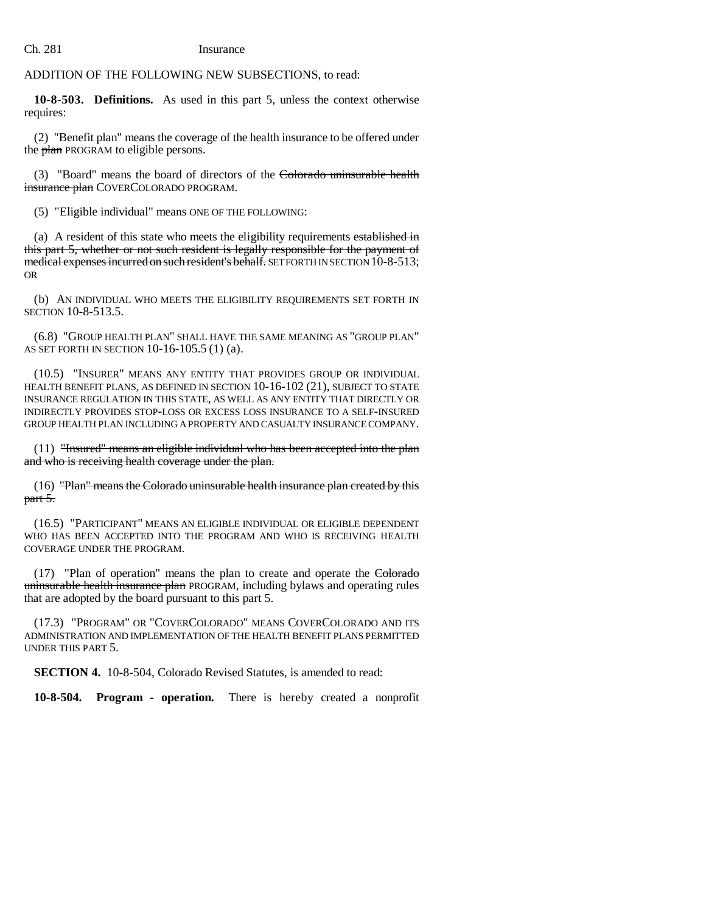# ADDITION OF THE FOLLOWING NEW SUBSECTIONS, to read:

**10-8-503. Definitions.** As used in this part 5, unless the context otherwise requires:

(2) "Benefit plan" means the coverage of the health insurance to be offered under the plan PROGRAM to eligible persons.

(3) "Board" means the board of directors of the Colorado uninsurable health insurance plan COVERCOLORADO PROGRAM.

(5) "Eligible individual" means ONE OF THE FOLLOWING:

(a) A resident of this state who meets the eligibility requirements established in this part 5, whether or not such resident is legally responsible for the payment of medical expenses incurred on such resident's behalf. SET FORTH IN SECTION 10-8-513; OR

(b) AN INDIVIDUAL WHO MEETS THE ELIGIBILITY REQUIREMENTS SET FORTH IN SECTION 10-8-513.5.

(6.8) "GROUP HEALTH PLAN" SHALL HAVE THE SAME MEANING AS "GROUP PLAN" AS SET FORTH IN SECTION 10-16-105.5 (1) (a).

(10.5) "INSURER" MEANS ANY ENTITY THAT PROVIDES GROUP OR INDIVIDUAL HEALTH BENEFIT PLANS, AS DEFINED IN SECTION 10-16-102 (21), SUBJECT TO STATE INSURANCE REGULATION IN THIS STATE, AS WELL AS ANY ENTITY THAT DIRECTLY OR INDIRECTLY PROVIDES STOP-LOSS OR EXCESS LOSS INSURANCE TO A SELF-INSURED GROUP HEALTH PLAN INCLUDING A PROPERTY AND CASUALTY INSURANCE COMPANY.

(11) "Insured" means an eligible individual who has been accepted into the plan and who is receiving health coverage under the plan.

(16) "Plan" means the Colorado uninsurable health insurance plan created by this part 5.

(16.5) "PARTICIPANT" MEANS AN ELIGIBLE INDIVIDUAL OR ELIGIBLE DEPENDENT WHO HAS BEEN ACCEPTED INTO THE PROGRAM AND WHO IS RECEIVING HEALTH COVERAGE UNDER THE PROGRAM.

(17) "Plan of operation" means the plan to create and operate the Colorado uninsurable health insurance plan PROGRAM, including bylaws and operating rules that are adopted by the board pursuant to this part 5.

(17.3) "PROGRAM" OR "COVERCOLORADO" MEANS COVERCOLORADO AND ITS ADMINISTRATION AND IMPLEMENTATION OF THE HEALTH BENEFIT PLANS PERMITTED UNDER THIS PART 5.

**SECTION 4.** 10-8-504, Colorado Revised Statutes, is amended to read:

**10-8-504. Program - operation.** There is hereby created a nonprofit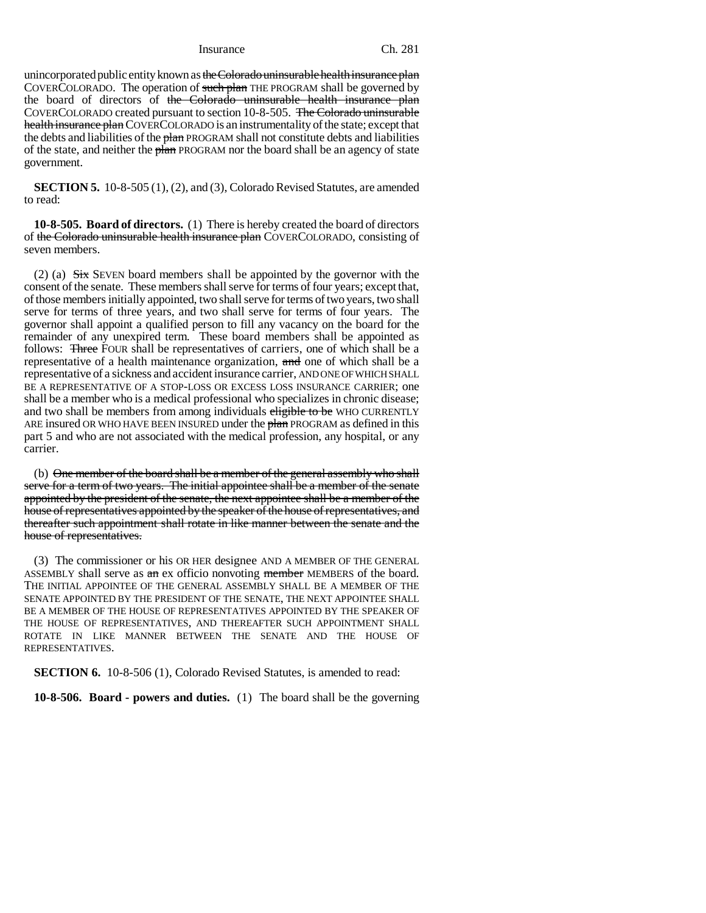unincorporated public entity known as the Colorado uninsurable health insurance plan COVERCOLORADO. The operation of such plan THE PROGRAM shall be governed by the board of directors of the Colorado uninsurable health insurance plan COVERCOLORADO created pursuant to section 10-8-505. The Colorado uninsurable health insurance plan COVERCOLORADO is an instrumentality of the state; except that the debts and liabilities of the plan PROGRAM shall not constitute debts and liabilities of the state, and neither the plan PROGRAM nor the board shall be an agency of state government.

**SECTION 5.** 10-8-505 (1), (2), and (3), Colorado Revised Statutes, are amended to read:

**10-8-505. Board of directors.** (1) There is hereby created the board of directors of the Colorado uninsurable health insurance plan COVERCOLORADO, consisting of seven members.

(2) (a)  $S<sub>ix</sub>$  SEVEN board members shall be appointed by the governor with the consent of the senate. These members shall serve for terms of four years; except that, of those members initially appointed, two shall serve for terms of two years, two shall serve for terms of three years, and two shall serve for terms of four years. The governor shall appoint a qualified person to fill any vacancy on the board for the remainder of any unexpired term. These board members shall be appointed as follows: Three FOUR shall be representatives of carriers, one of which shall be a representative of a health maintenance organization, and one of which shall be a representative of a sickness and accident insurance carrier, AND ONE OF WHICH SHALL BE A REPRESENTATIVE OF A STOP-LOSS OR EXCESS LOSS INSURANCE CARRIER; one shall be a member who is a medical professional who specializes in chronic disease; and two shall be members from among individuals eligible to be WHO CURRENTLY ARE insured OR WHO HAVE BEEN INSURED under the plan PROGRAM as defined in this part 5 and who are not associated with the medical profession, any hospital, or any carrier.

(b) One member of the board shall be a member of the general assembly who shall serve for a term of two years. The initial appointee shall be a member of the senate appointed by the president of the senate, the next appointee shall be a member of the house of representatives appointed by the speaker of the house of representatives, and thereafter such appointment shall rotate in like manner between the senate and the house of representatives.

(3) The commissioner or his OR HER designee AND A MEMBER OF THE GENERAL ASSEMBLY shall serve as  $a$  an ex officio nonvoting member MEMBERS of the board. THE INITIAL APPOINTEE OF THE GENERAL ASSEMBLY SHALL BE A MEMBER OF THE SENATE APPOINTED BY THE PRESIDENT OF THE SENATE, THE NEXT APPOINTEE SHALL BE A MEMBER OF THE HOUSE OF REPRESENTATIVES APPOINTED BY THE SPEAKER OF THE HOUSE OF REPRESENTATIVES, AND THEREAFTER SUCH APPOINTMENT SHALL ROTATE IN LIKE MANNER BETWEEN THE SENATE AND THE HOUSE OF REPRESENTATIVES.

**SECTION 6.** 10-8-506 (1), Colorado Revised Statutes, is amended to read:

**10-8-506. Board - powers and duties.** (1) The board shall be the governing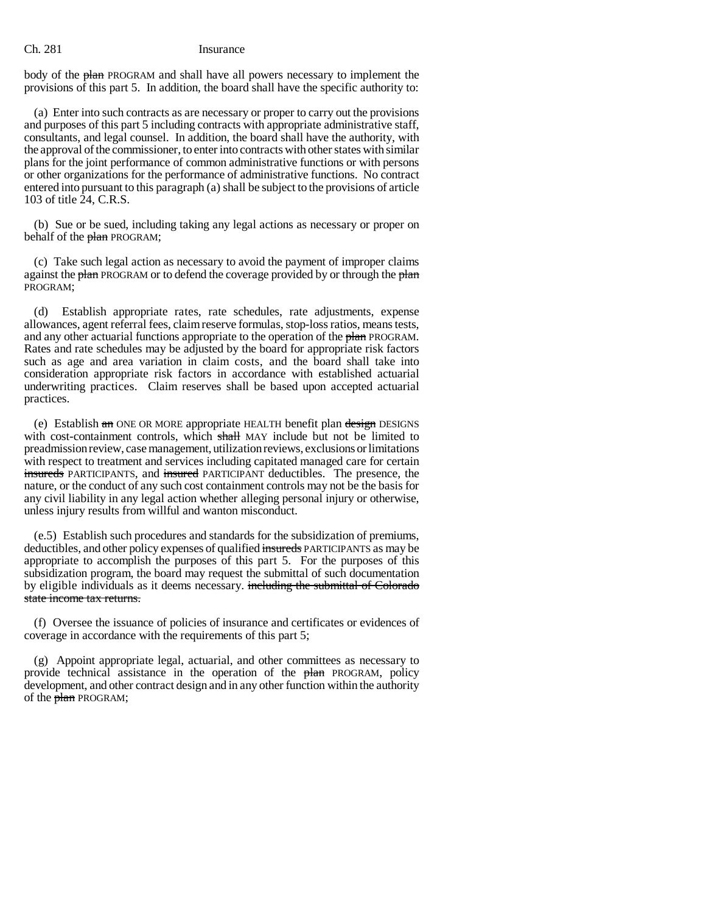body of the plan PROGRAM and shall have all powers necessary to implement the provisions of this part 5. In addition, the board shall have the specific authority to:

(a) Enter into such contracts as are necessary or proper to carry out the provisions and purposes of this part 5 including contracts with appropriate administrative staff, consultants, and legal counsel. In addition, the board shall have the authority, with the approval of the commissioner, to enter into contracts with other states with similar plans for the joint performance of common administrative functions or with persons or other organizations for the performance of administrative functions. No contract entered into pursuant to this paragraph (a) shall be subject to the provisions of article 103 of title 24, C.R.S.

(b) Sue or be sued, including taking any legal actions as necessary or proper on behalf of the plan PROGRAM;

(c) Take such legal action as necessary to avoid the payment of improper claims against the plan PROGRAM or to defend the coverage provided by or through the plan PROGRAM;

(d) Establish appropriate rates, rate schedules, rate adjustments, expense allowances, agent referral fees, claim reserve formulas, stop-loss ratios, means tests, and any other actuarial functions appropriate to the operation of the plan PROGRAM. Rates and rate schedules may be adjusted by the board for appropriate risk factors such as age and area variation in claim costs, and the board shall take into consideration appropriate risk factors in accordance with established actuarial underwriting practices. Claim reserves shall be based upon accepted actuarial practices.

(e) Establish an ONE OR MORE appropriate HEALTH benefit plan design DESIGNS with cost-containment controls, which shall MAY include but not be limited to preadmission review, case management, utilization reviews, exclusions or limitations with respect to treatment and services including capitated managed care for certain insureds PARTICIPANTS, and insured PARTICIPANT deductibles. The presence, the nature, or the conduct of any such cost containment controls may not be the basis for any civil liability in any legal action whether alleging personal injury or otherwise, unless injury results from willful and wanton misconduct.

(e.5) Establish such procedures and standards for the subsidization of premiums, deductibles, and other policy expenses of qualified insureds PARTICIPANTS as may be appropriate to accomplish the purposes of this part 5. For the purposes of this subsidization program, the board may request the submittal of such documentation by eligible individuals as it deems necessary. including the submittal of Colorado state income tax returns.

(f) Oversee the issuance of policies of insurance and certificates or evidences of coverage in accordance with the requirements of this part 5;

(g) Appoint appropriate legal, actuarial, and other committees as necessary to provide technical assistance in the operation of the plan PROGRAM, policy development, and other contract design and in any other function within the authority of the plan PROGRAM;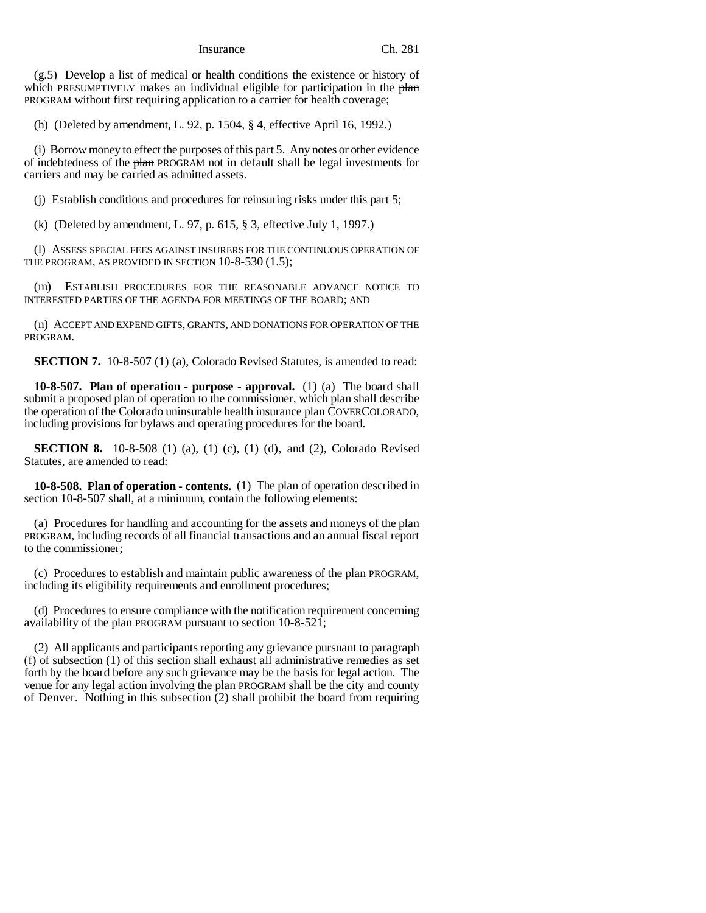(g.5) Develop a list of medical or health conditions the existence or history of which PRESUMPTIVELY makes an individual eligible for participation in the plan PROGRAM without first requiring application to a carrier for health coverage;

(h) (Deleted by amendment, L. 92, p. 1504, § 4, effective April 16, 1992.)

(i) Borrow money to effect the purposes of this part 5. Any notes or other evidence of indebtedness of the plan PROGRAM not in default shall be legal investments for carriers and may be carried as admitted assets.

(j) Establish conditions and procedures for reinsuring risks under this part 5;

(k) (Deleted by amendment, L. 97, p. 615, § 3, effective July 1, 1997.)

(l) ASSESS SPECIAL FEES AGAINST INSURERS FOR THE CONTINUOUS OPERATION OF THE PROGRAM, AS PROVIDED IN SECTION 10-8-530 (1.5);

(m) ESTABLISH PROCEDURES FOR THE REASONABLE ADVANCE NOTICE TO INTERESTED PARTIES OF THE AGENDA FOR MEETINGS OF THE BOARD; AND

(n) ACCEPT AND EXPEND GIFTS, GRANTS, AND DONATIONS FOR OPERATION OF THE PROGRAM.

**SECTION 7.** 10-8-507 (1) (a), Colorado Revised Statutes, is amended to read:

**10-8-507. Plan of operation - purpose - approval.** (1) (a) The board shall submit a proposed plan of operation to the commissioner, which plan shall describe the operation of the Colorado uninsurable health insurance plan COVERCOLORADO, including provisions for bylaws and operating procedures for the board.

**SECTION 8.** 10-8-508 (1) (a), (1) (c), (1) (d), and (2), Colorado Revised Statutes, are amended to read:

**10-8-508. Plan of operation - contents.** (1) The plan of operation described in section 10-8-507 shall, at a minimum, contain the following elements:

(a) Procedures for handling and accounting for the assets and moneys of the  $$ PROGRAM, including records of all financial transactions and an annual fiscal report to the commissioner;

(c) Procedures to establish and maintain public awareness of the *,* including its eligibility requirements and enrollment procedures;

(d) Procedures to ensure compliance with the notification requirement concerning availability of the  $\frac{\mu}{\mu}$  PROGRAM pursuant to section 10-8-521;

(2) All applicants and participants reporting any grievance pursuant to paragraph (f) of subsection (1) of this section shall exhaust all administrative remedies as set forth by the board before any such grievance may be the basis for legal action. The venue for any legal action involving the plan PROGRAM shall be the city and county of Denver. Nothing in this subsection (2) shall prohibit the board from requiring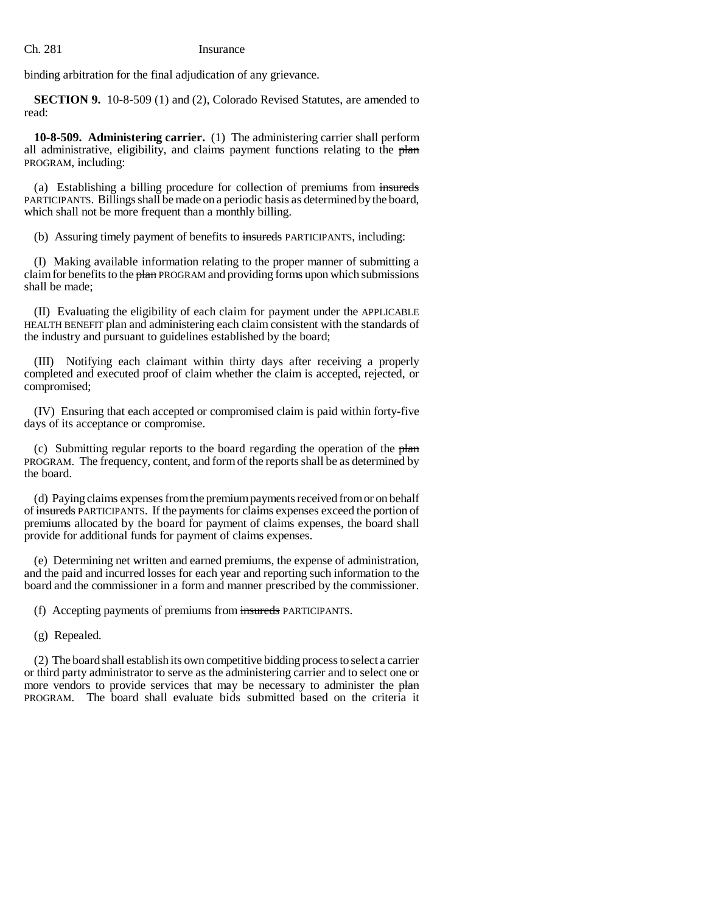binding arbitration for the final adjudication of any grievance.

**SECTION 9.** 10-8-509 (1) and (2), Colorado Revised Statutes, are amended to read:

**10-8-509. Administering carrier.** (1) The administering carrier shall perform all administrative, eligibility, and claims payment functions relating to the plan PROGRAM, including:

(a) Establishing a billing procedure for collection of premiums from insureds PARTICIPANTS. Billings shall be made on a periodic basis as determined by the board, which shall not be more frequent than a monthly billing.

(b) Assuring timely payment of benefits to insureds PARTICIPANTS, including:

(I) Making available information relating to the proper manner of submitting a claim for benefits to the plan PROGRAM and providing forms upon which submissions shall be made;

(II) Evaluating the eligibility of each claim for payment under the APPLICABLE HEALTH BENEFIT plan and administering each claim consistent with the standards of the industry and pursuant to guidelines established by the board;

(III) Notifying each claimant within thirty days after receiving a properly completed and executed proof of claim whether the claim is accepted, rejected, or compromised;

(IV) Ensuring that each accepted or compromised claim is paid within forty-five days of its acceptance or compromise.

(c) Submitting regular reports to the board regarding the operation of the plan PROGRAM. The frequency, content, and form of the reports shall be as determined by the board.

(d) Paying claims expenses from the premium payments received from or on behalf of insureds PARTICIPANTS. If the payments for claims expenses exceed the portion of premiums allocated by the board for payment of claims expenses, the board shall provide for additional funds for payment of claims expenses.

(e) Determining net written and earned premiums, the expense of administration, and the paid and incurred losses for each year and reporting such information to the board and the commissioner in a form and manner prescribed by the commissioner.

(f) Accepting payments of premiums from insureds PARTICIPANTS.

(g) Repealed.

(2) The board shall establish its own competitive bidding process to select a carrier or third party administrator to serve as the administering carrier and to select one or more vendors to provide services that may be necessary to administer the plan PROGRAM. The board shall evaluate bids submitted based on the criteria it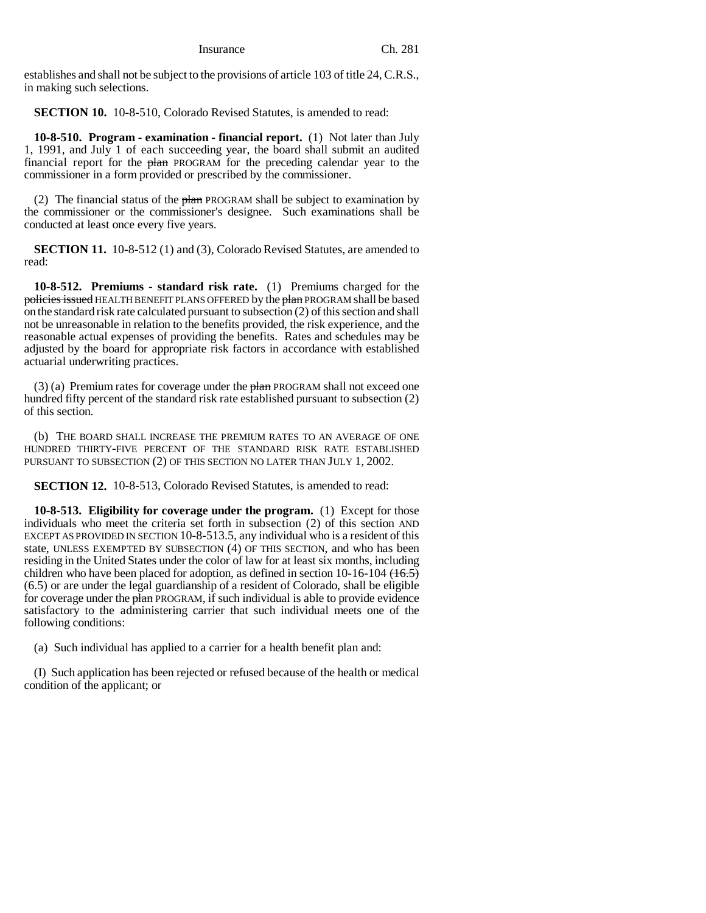establishes and shall not be subject to the provisions of article 103 of title 24, C.R.S., in making such selections.

**SECTION 10.** 10-8-510, Colorado Revised Statutes, is amended to read:

**10-8-510. Program - examination - financial report.** (1) Not later than July 1, 1991, and July 1 of each succeeding year, the board shall submit an audited financial report for the plan PROGRAM for the preceding calendar year to the commissioner in a form provided or prescribed by the commissioner.

(2) The financial status of the  $\frac{1}{2}$  PROGRAM shall be subject to examination by the commissioner or the commissioner's designee. Such examinations shall be conducted at least once every five years.

**SECTION 11.** 10-8-512 (1) and (3), Colorado Revised Statutes, are amended to read:

**10-8-512. Premiums - standard risk rate.** (1) Premiums charged for the policies issued HEALTH BENEFIT PLANS OFFERED by the plan PROGRAM shall be based on the standard risk rate calculated pursuant to subsection (2) of this section and shall not be unreasonable in relation to the benefits provided, the risk experience, and the reasonable actual expenses of providing the benefits. Rates and schedules may be adjusted by the board for appropriate risk factors in accordance with established actuarial underwriting practices.

(3) (a) Premium rates for coverage under the  $\frac{\partial^2 u}{\partial x^2}$  PROGRAM shall not exceed one hundred fifty percent of the standard risk rate established pursuant to subsection (2) of this section.

(b) THE BOARD SHALL INCREASE THE PREMIUM RATES TO AN AVERAGE OF ONE HUNDRED THIRTY-FIVE PERCENT OF THE STANDARD RISK RATE ESTABLISHED PURSUANT TO SUBSECTION (2) OF THIS SECTION NO LATER THAN JULY 1, 2002.

**SECTION 12.** 10-8-513, Colorado Revised Statutes, is amended to read:

**10-8-513. Eligibility for coverage under the program.** (1) Except for those individuals who meet the criteria set forth in subsection (2) of this section AND EXCEPT AS PROVIDED IN SECTION 10-8-513.5, any individual who is a resident of this state, UNLESS EXEMPTED BY SUBSECTION (4) OF THIS SECTION, and who has been residing in the United States under the color of law for at least six months, including children who have been placed for adoption, as defined in section 10-16-104  $(16.5)$ (6.5) or are under the legal guardianship of a resident of Colorado, shall be eligible for coverage under the plan PROGRAM, if such individual is able to provide evidence satisfactory to the administering carrier that such individual meets one of the following conditions:

(a) Such individual has applied to a carrier for a health benefit plan and:

(I) Such application has been rejected or refused because of the health or medical condition of the applicant; or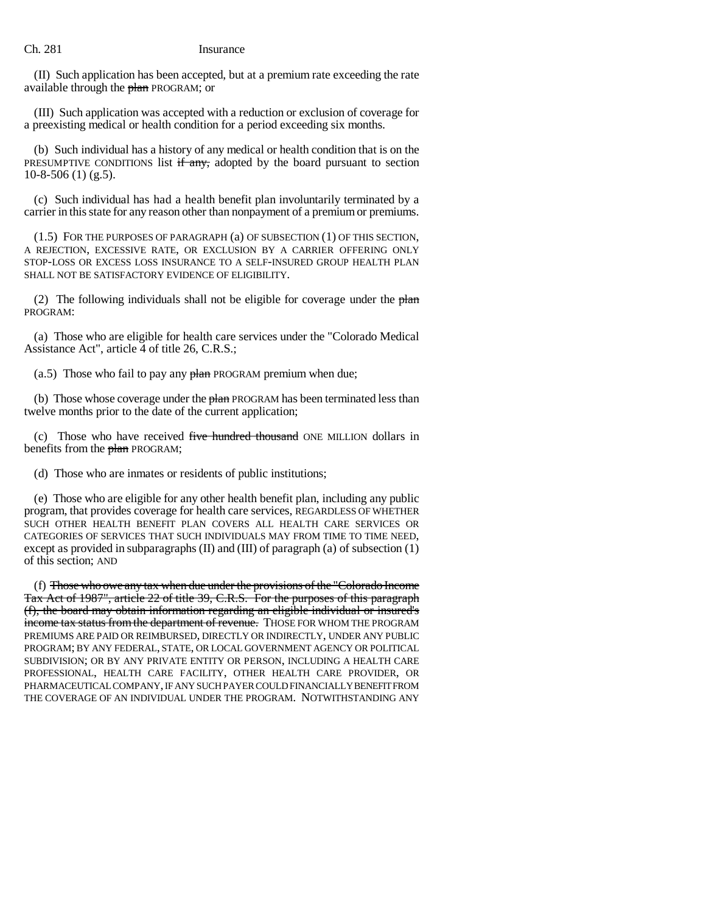(II) Such application has been accepted, but at a premium rate exceeding the rate available through the plan PROGRAM; or

(III) Such application was accepted with a reduction or exclusion of coverage for a preexisting medical or health condition for a period exceeding six months.

(b) Such individual has a history of any medical or health condition that is on the PRESUMPTIVE CONDITIONS list  $\frac{f}{f}$  any, adopted by the board pursuant to section  $10-8-506$  (1) (g.5).

(c) Such individual has had a health benefit plan involuntarily terminated by a carrier in this state for any reason other than nonpayment of a premium or premiums.

(1.5) FOR THE PURPOSES OF PARAGRAPH (a) OF SUBSECTION (1) OF THIS SECTION, A REJECTION, EXCESSIVE RATE, OR EXCLUSION BY A CARRIER OFFERING ONLY STOP-LOSS OR EXCESS LOSS INSURANCE TO A SELF-INSURED GROUP HEALTH PLAN SHALL NOT BE SATISFACTORY EVIDENCE OF ELIGIBILITY.

(2) The following individuals shall not be eligible for coverage under the  $$ PROGRAM:

(a) Those who are eligible for health care services under the "Colorado Medical Assistance Act", article 4 of title 26, C.R.S.;

(a.5) Those who fail to pay any  $\frac{\partial^2 f}{\partial x^2}$  PROGRAM premium when due;

(b) Those whose coverage under the plan PROGRAM has been terminated less than twelve months prior to the date of the current application;

(c) Those who have received five hundred thousand ONE MILLION dollars in benefits from the plan PROGRAM;

(d) Those who are inmates or residents of public institutions;

(e) Those who are eligible for any other health benefit plan, including any public program, that provides coverage for health care services, REGARDLESS OF WHETHER SUCH OTHER HEALTH BENEFIT PLAN COVERS ALL HEALTH CARE SERVICES OR CATEGORIES OF SERVICES THAT SUCH INDIVIDUALS MAY FROM TIME TO TIME NEED, except as provided in subparagraphs  $(II)$  and  $(III)$  of paragraph  $(a)$  of subsection  $(1)$ of this section; AND

(f) Those who owe any tax when due under the provisions of the "Colorado Income Tax Act of 1987", article 22 of title 39, C.R.S. For the purposes of this paragraph (f), the board may obtain information regarding an eligible individual or insured's income tax status from the department of revenue. Those FOR WHOM THE PROGRAM PREMIUMS ARE PAID OR REIMBURSED, DIRECTLY OR INDIRECTLY, UNDER ANY PUBLIC PROGRAM; BY ANY FEDERAL, STATE, OR LOCAL GOVERNMENT AGENCY OR POLITICAL SUBDIVISION; OR BY ANY PRIVATE ENTITY OR PERSON, INCLUDING A HEALTH CARE PROFESSIONAL, HEALTH CARE FACILITY, OTHER HEALTH CARE PROVIDER, OR PHARMACEUTICAL COMPANY, IF ANY SUCH PAYER COULD FINANCIALLY BENEFIT FROM THE COVERAGE OF AN INDIVIDUAL UNDER THE PROGRAM. NOTWITHSTANDING ANY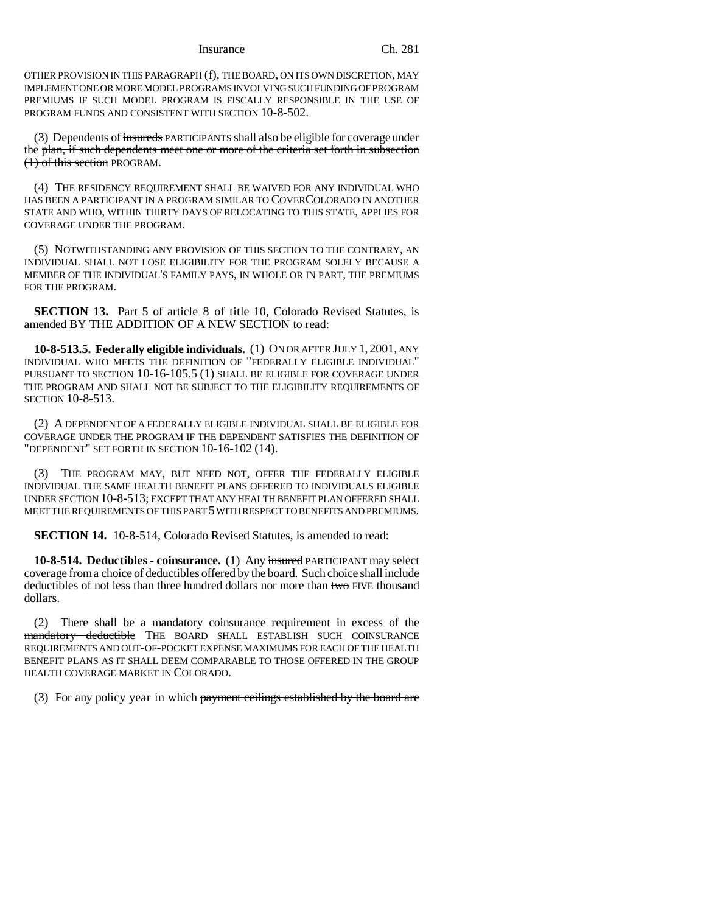OTHER PROVISION IN THIS PARAGRAPH (f), THE BOARD, ON ITS OWN DISCRETION, MAY IMPLEMENT ONE OR MORE MODEL PROGRAMS INVOLVING SUCH FUNDING OF PROGRAM PREMIUMS IF SUCH MODEL PROGRAM IS FISCALLY RESPONSIBLE IN THE USE OF PROGRAM FUNDS AND CONSISTENT WITH SECTION 10-8-502.

(3) Dependents of insureds PARTICIPANTS shall also be eligible for coverage under the plan, if such dependents meet one or more of the criteria set forth in subsection (1) of this section PROGRAM.

(4) THE RESIDENCY REQUIREMENT SHALL BE WAIVED FOR ANY INDIVIDUAL WHO HAS BEEN A PARTICIPANT IN A PROGRAM SIMILAR TO COVERCOLORADO IN ANOTHER STATE AND WHO, WITHIN THIRTY DAYS OF RELOCATING TO THIS STATE, APPLIES FOR COVERAGE UNDER THE PROGRAM.

(5) NOTWITHSTANDING ANY PROVISION OF THIS SECTION TO THE CONTRARY, AN INDIVIDUAL SHALL NOT LOSE ELIGIBILITY FOR THE PROGRAM SOLELY BECAUSE A MEMBER OF THE INDIVIDUAL'S FAMILY PAYS, IN WHOLE OR IN PART, THE PREMIUMS FOR THE PROGRAM.

**SECTION 13.** Part 5 of article 8 of title 10, Colorado Revised Statutes, is amended BY THE ADDITION OF A NEW SECTION to read:

**10-8-513.5. Federally eligible individuals.** (1) ON OR AFTER JULY 1, 2001, ANY INDIVIDUAL WHO MEETS THE DEFINITION OF "FEDERALLY ELIGIBLE INDIVIDUAL" PURSUANT TO SECTION 10-16-105.5 (1) SHALL BE ELIGIBLE FOR COVERAGE UNDER THE PROGRAM AND SHALL NOT BE SUBJECT TO THE ELIGIBILITY REQUIREMENTS OF SECTION 10-8-513.

(2) A DEPENDENT OF A FEDERALLY ELIGIBLE INDIVIDUAL SHALL BE ELIGIBLE FOR COVERAGE UNDER THE PROGRAM IF THE DEPENDENT SATISFIES THE DEFINITION OF "DEPENDENT" SET FORTH IN SECTION 10-16-102 (14).

(3) THE PROGRAM MAY, BUT NEED NOT, OFFER THE FEDERALLY ELIGIBLE INDIVIDUAL THE SAME HEALTH BENEFIT PLANS OFFERED TO INDIVIDUALS ELIGIBLE UNDER SECTION 10-8-513; EXCEPT THAT ANY HEALTH BENEFIT PLAN OFFERED SHALL MEET THE REQUIREMENTS OF THIS PART 5 WITH RESPECT TO BENEFITS AND PREMIUMS.

**SECTION 14.** 10-8-514, Colorado Revised Statutes, is amended to read:

**10-8-514. Deductibles - coinsurance.** (1) Any insured PARTICIPANT may select coverage from a choice of deductibles offered by the board. Such choice shall include deductibles of not less than three hundred dollars nor more than two FIVE thousand dollars.

(2) There shall be a mandatory coinsurance requirement in excess of the mandatory deductible THE BOARD SHALL ESTABLISH SUCH COINSURANCE REQUIREMENTS AND OUT-OF-POCKET EXPENSE MAXIMUMS FOR EACH OF THE HEALTH BENEFIT PLANS AS IT SHALL DEEM COMPARABLE TO THOSE OFFERED IN THE GROUP HEALTH COVERAGE MARKET IN COLORADO.

(3) For any policy year in which payment ceilings established by the board are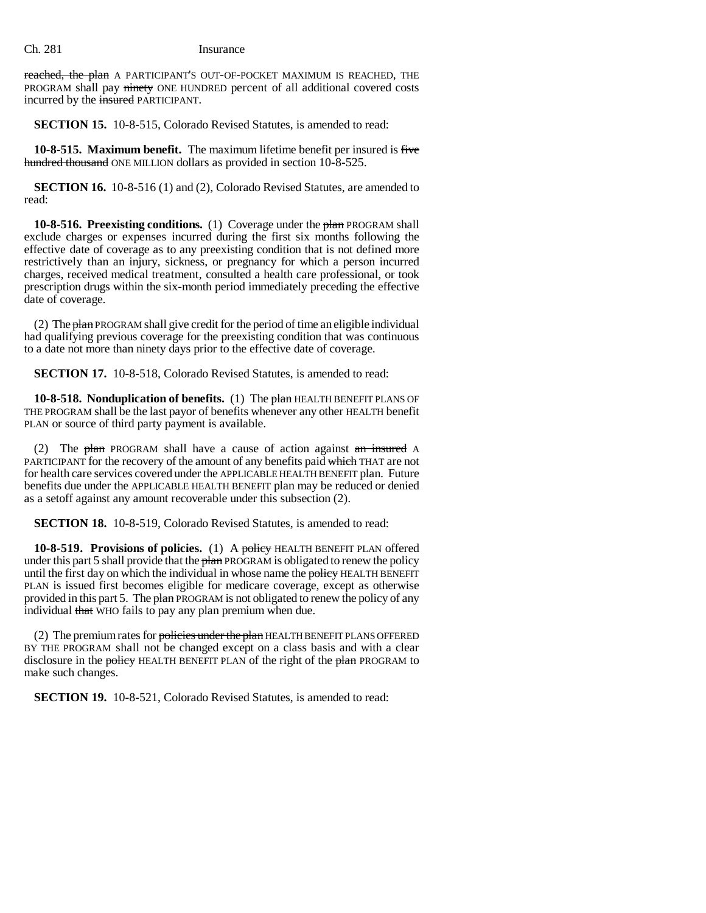reached, the plan A PARTICIPANT'S OUT-OF-POCKET MAXIMUM IS REACHED, THE PROGRAM shall pay ninety ONE HUNDRED percent of all additional covered costs incurred by the insured PARTICIPANT.

**SECTION 15.** 10-8-515, Colorado Revised Statutes, is amended to read:

**10-8-515. Maximum benefit.** The maximum lifetime benefit per insured is five hundred thousand ONE MILLION dollars as provided in section 10-8-525.

**SECTION 16.** 10-8-516 (1) and (2), Colorado Revised Statutes, are amended to read:

**10-8-516. Preexisting conditions.** (1) Coverage under the plan PROGRAM shall exclude charges or expenses incurred during the first six months following the effective date of coverage as to any preexisting condition that is not defined more restrictively than an injury, sickness, or pregnancy for which a person incurred charges, received medical treatment, consulted a health care professional, or took prescription drugs within the six-month period immediately preceding the effective date of coverage.

(2) The  $\frac{\partial^2 u}{\partial x^2}$  PROGRAM shall give credit for the period of time an eligible individual had qualifying previous coverage for the preexisting condition that was continuous to a date not more than ninety days prior to the effective date of coverage.

**SECTION 17.** 10-8-518, Colorado Revised Statutes, is amended to read:

**10-8-518. Nonduplication of benefits.** (1) The plan HEALTH BENEFIT PLANS OF THE PROGRAM shall be the last payor of benefits whenever any other HEALTH benefit PLAN or source of third party payment is available.

(2) The  $plan$  PROGRAM shall have a cause of action against  $an$  insured A PARTICIPANT for the recovery of the amount of any benefits paid which THAT are not for health care services covered under the APPLICABLE HEALTH BENEFIT plan. Future benefits due under the APPLICABLE HEALTH BENEFIT plan may be reduced or denied as a setoff against any amount recoverable under this subsection (2).

**SECTION 18.** 10-8-519, Colorado Revised Statutes, is amended to read:

**10-8-519. Provisions of policies.** (1) A policy HEALTH BENEFIT PLAN offered under this part 5 shall provide that the plan PROGRAM is obligated to renew the policy until the first day on which the individual in whose name the policy HEALTH BENEFIT PLAN is issued first becomes eligible for medicare coverage, except as otherwise provided in this part 5. The plan PROGRAM is not obligated to renew the policy of any individual that WHO fails to pay any plan premium when due.

(2) The premium rates for policies under the plan HEALTH BENEFIT PLANS OFFERED BY THE PROGRAM shall not be changed except on a class basis and with a clear disclosure in the policy HEALTH BENEFIT PLAN of the right of the plan PROGRAM to make such changes.

**SECTION 19.** 10-8-521, Colorado Revised Statutes, is amended to read: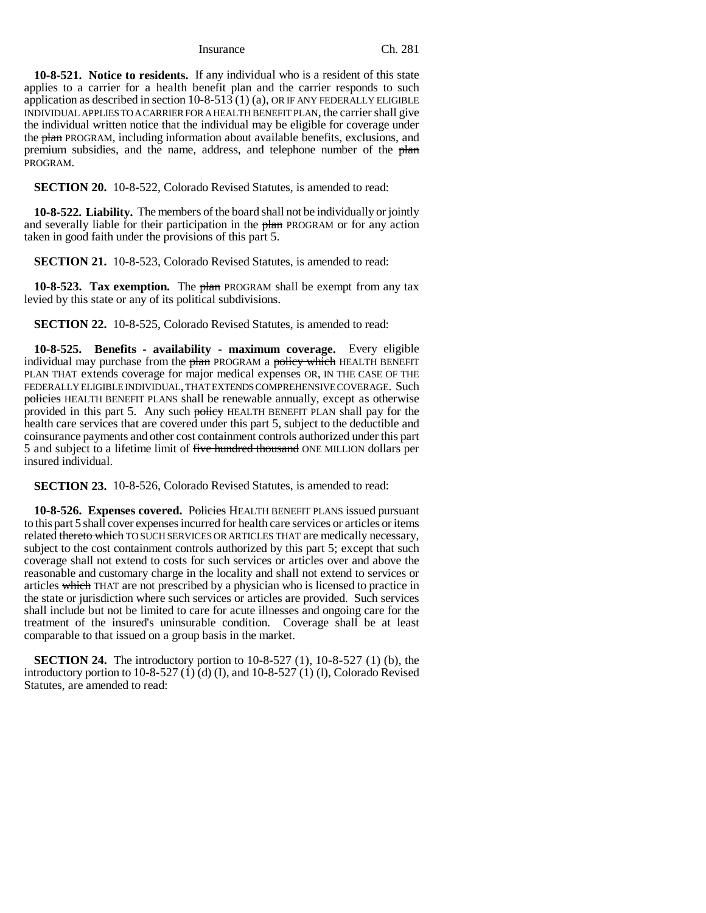**10-8-521. Notice to residents.** If any individual who is a resident of this state applies to a carrier for a health benefit plan and the carrier responds to such application as described in section  $10-8-513(1)(a)$ , OR IF ANY FEDERALLY ELIGIBLE INDIVIDUAL APPLIES TO A CARRIER FOR A HEALTH BENEFIT PLAN, the carrier shall give the individual written notice that the individual may be eligible for coverage under the plan PROGRAM, including information about available benefits, exclusions, and premium subsidies, and the name, address, and telephone number of the plan PROGRAM.

**SECTION 20.** 10-8-522, Colorado Revised Statutes, is amended to read:

**10-8-522. Liability.** The members of the board shall not be individually or jointly and severally liable for their participation in the plan PROGRAM or for any action taken in good faith under the provisions of this part 5.

**SECTION 21.** 10-8-523, Colorado Revised Statutes, is amended to read:

**10-8-523. Tax exemption.** The plan PROGRAM shall be exempt from any tax levied by this state or any of its political subdivisions.

**SECTION 22.** 10-8-525, Colorado Revised Statutes, is amended to read:

**10-8-525. Benefits - availability - maximum coverage.** Every eligible individual may purchase from the plan PROGRAM a policy which HEALTH BENEFIT PLAN THAT extends coverage for major medical expenses OR, IN THE CASE OF THE FEDERALLY ELIGIBLE INDIVIDUAL, THAT EXTENDS COMPREHENSIVE COVERAGE. Such policies HEALTH BENEFIT PLANS shall be renewable annually, except as otherwise provided in this part 5. Any such policy HEALTH BENEFIT PLAN shall pay for the health care services that are covered under this part 5, subject to the deductible and coinsurance payments and other cost containment controls authorized under this part 5 and subject to a lifetime limit of five hundred thousand ONE MILLION dollars per insured individual.

**SECTION 23.** 10-8-526, Colorado Revised Statutes, is amended to read:

**10-8-526. Expenses covered.** Policies HEALTH BENEFIT PLANS issued pursuant to this part 5 shall cover expenses incurred for health care services or articles or items related thereto which TO SUCH SERVICES OR ARTICLES THAT are medically necessary, subject to the cost containment controls authorized by this part 5; except that such coverage shall not extend to costs for such services or articles over and above the reasonable and customary charge in the locality and shall not extend to services or articles which THAT are not prescribed by a physician who is licensed to practice in the state or jurisdiction where such services or articles are provided. Such services shall include but not be limited to care for acute illnesses and ongoing care for the treatment of the insured's uninsurable condition. Coverage shall be at least comparable to that issued on a group basis in the market.

**SECTION 24.** The introductory portion to 10-8-527 (1), 10-8-527 (1) (b), the introductory portion to 10-8-527 (1) (d) (I), and 10-8-527 (1) (I), Colorado Revised Statutes, are amended to read: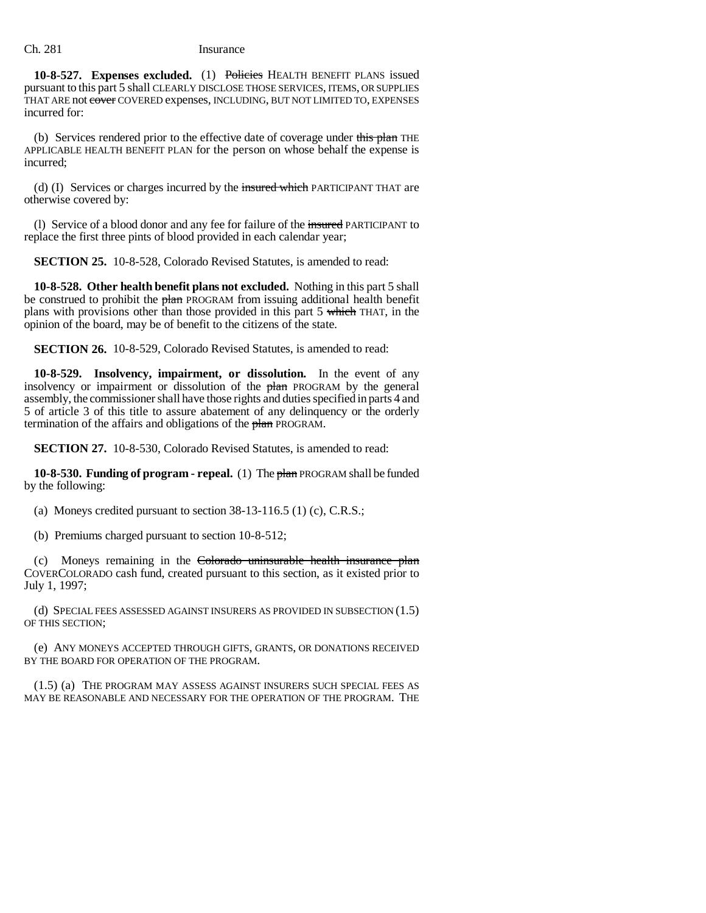**10-8-527. Expenses excluded.** (1) Policies HEALTH BENEFIT PLANS issued pursuant to this part 5 shall CLEARLY DISCLOSE THOSE SERVICES, ITEMS, OR SUPPLIES THAT ARE not cover COVERED expenses, INCLUDING, BUT NOT LIMITED TO, EXPENSES incurred for:

(b) Services rendered prior to the effective date of coverage under this plan THE APPLICABLE HEALTH BENEFIT PLAN for the person on whose behalf the expense is incurred;

(d) (I) Services or charges incurred by the insured which PARTICIPANT THAT are otherwise covered by:

(1) Service of a blood donor and any fee for failure of the insured PARTICIPANT to replace the first three pints of blood provided in each calendar year;

**SECTION 25.** 10-8-528, Colorado Revised Statutes, is amended to read:

**10-8-528. Other health benefit plans not excluded.** Nothing in this part 5 shall be construed to prohibit the plan PROGRAM from issuing additional health benefit plans with provisions other than those provided in this part 5 which THAT, in the opinion of the board, may be of benefit to the citizens of the state.

**SECTION 26.** 10-8-529, Colorado Revised Statutes, is amended to read:

**10-8-529. Insolvency, impairment, or dissolution.** In the event of any insolvency or impairment or dissolution of the plan PROGRAM by the general assembly, the commissioner shall have those rights and duties specified in parts 4 and 5 of article 3 of this title to assure abatement of any delinquency or the orderly termination of the affairs and obligations of the plan PROGRAM.

**SECTION 27.** 10-8-530, Colorado Revised Statutes, is amended to read:

**10-8-530. Funding of program - repeal.** (1) The plan PROGRAM shall be funded by the following:

(a) Moneys credited pursuant to section  $38-13-116.5$  (1) (c), C.R.S.;

(b) Premiums charged pursuant to section 10-8-512;

(c) Moneys remaining in the Colorado uninsurable health insurance plan COVERCOLORADO cash fund, created pursuant to this section, as it existed prior to July 1, 1997;

(d) SPECIAL FEES ASSESSED AGAINST INSURERS AS PROVIDED IN SUBSECTION (1.5) OF THIS SECTION;

(e) ANY MONEYS ACCEPTED THROUGH GIFTS, GRANTS, OR DONATIONS RECEIVED BY THE BOARD FOR OPERATION OF THE PROGRAM.

(1.5) (a) THE PROGRAM MAY ASSESS AGAINST INSURERS SUCH SPECIAL FEES AS MAY BE REASONABLE AND NECESSARY FOR THE OPERATION OF THE PROGRAM. THE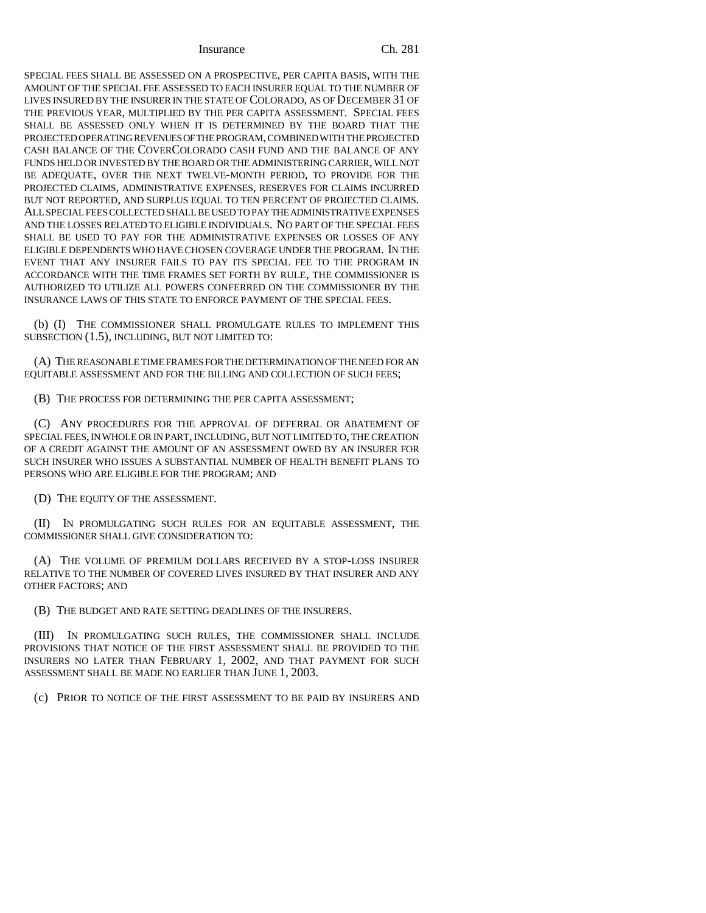SPECIAL FEES SHALL BE ASSESSED ON A PROSPECTIVE, PER CAPITA BASIS, WITH THE AMOUNT OF THE SPECIAL FEE ASSESSED TO EACH INSURER EQUAL TO THE NUMBER OF LIVES INSURED BY THE INSURER IN THE STATE OF COLORADO, AS OF DECEMBER 31 OF THE PREVIOUS YEAR, MULTIPLIED BY THE PER CAPITA ASSESSMENT. SPECIAL FEES SHALL BE ASSESSED ONLY WHEN IT IS DETERMINED BY THE BOARD THAT THE PROJECTED OPERATING REVENUES OF THE PROGRAM, COMBINED WITH THE PROJECTED CASH BALANCE OF THE COVERCOLORADO CASH FUND AND THE BALANCE OF ANY FUNDS HELD OR INVESTED BY THE BOARD OR THE ADMINISTERING CARRIER, WILL NOT BE ADEQUATE, OVER THE NEXT TWELVE-MONTH PERIOD, TO PROVIDE FOR THE PROJECTED CLAIMS, ADMINISTRATIVE EXPENSES, RESERVES FOR CLAIMS INCURRED BUT NOT REPORTED, AND SURPLUS EQUAL TO TEN PERCENT OF PROJECTED CLAIMS. ALL SPECIAL FEES COLLECTED SHALL BE USED TO PAY THE ADMINISTRATIVE EXPENSES AND THE LOSSES RELATED TO ELIGIBLE INDIVIDUALS. NO PART OF THE SPECIAL FEES SHALL BE USED TO PAY FOR THE ADMINISTRATIVE EXPENSES OR LOSSES OF ANY ELIGIBLE DEPENDENTS WHO HAVE CHOSEN COVERAGE UNDER THE PROGRAM. IN THE EVENT THAT ANY INSURER FAILS TO PAY ITS SPECIAL FEE TO THE PROGRAM IN ACCORDANCE WITH THE TIME FRAMES SET FORTH BY RULE, THE COMMISSIONER IS AUTHORIZED TO UTILIZE ALL POWERS CONFERRED ON THE COMMISSIONER BY THE INSURANCE LAWS OF THIS STATE TO ENFORCE PAYMENT OF THE SPECIAL FEES.

(b) (I) THE COMMISSIONER SHALL PROMULGATE RULES TO IMPLEMENT THIS SUBSECTION (1.5), INCLUDING, BUT NOT LIMITED TO:

(A) THE REASONABLE TIME FRAMES FOR THE DETERMINATION OF THE NEED FOR AN EQUITABLE ASSESSMENT AND FOR THE BILLING AND COLLECTION OF SUCH FEES;

(B) THE PROCESS FOR DETERMINING THE PER CAPITA ASSESSMENT;

(C) ANY PROCEDURES FOR THE APPROVAL OF DEFERRAL OR ABATEMENT OF SPECIAL FEES, IN WHOLE OR IN PART, INCLUDING, BUT NOT LIMITED TO, THE CREATION OF A CREDIT AGAINST THE AMOUNT OF AN ASSESSMENT OWED BY AN INSURER FOR SUCH INSURER WHO ISSUES A SUBSTANTIAL NUMBER OF HEALTH BENEFIT PLANS TO PERSONS WHO ARE ELIGIBLE FOR THE PROGRAM; AND

(D) THE EQUITY OF THE ASSESSMENT.

(II) IN PROMULGATING SUCH RULES FOR AN EQUITABLE ASSESSMENT, THE COMMISSIONER SHALL GIVE CONSIDERATION TO:

(A) THE VOLUME OF PREMIUM DOLLARS RECEIVED BY A STOP-LOSS INSURER RELATIVE TO THE NUMBER OF COVERED LIVES INSURED BY THAT INSURER AND ANY OTHER FACTORS; AND

(B) THE BUDGET AND RATE SETTING DEADLINES OF THE INSURERS.

(III) IN PROMULGATING SUCH RULES, THE COMMISSIONER SHALL INCLUDE PROVISIONS THAT NOTICE OF THE FIRST ASSESSMENT SHALL BE PROVIDED TO THE INSURERS NO LATER THAN FEBRUARY 1, 2002, AND THAT PAYMENT FOR SUCH ASSESSMENT SHALL BE MADE NO EARLIER THAN JUNE 1, 2003.

(c) PRIOR TO NOTICE OF THE FIRST ASSESSMENT TO BE PAID BY INSURERS AND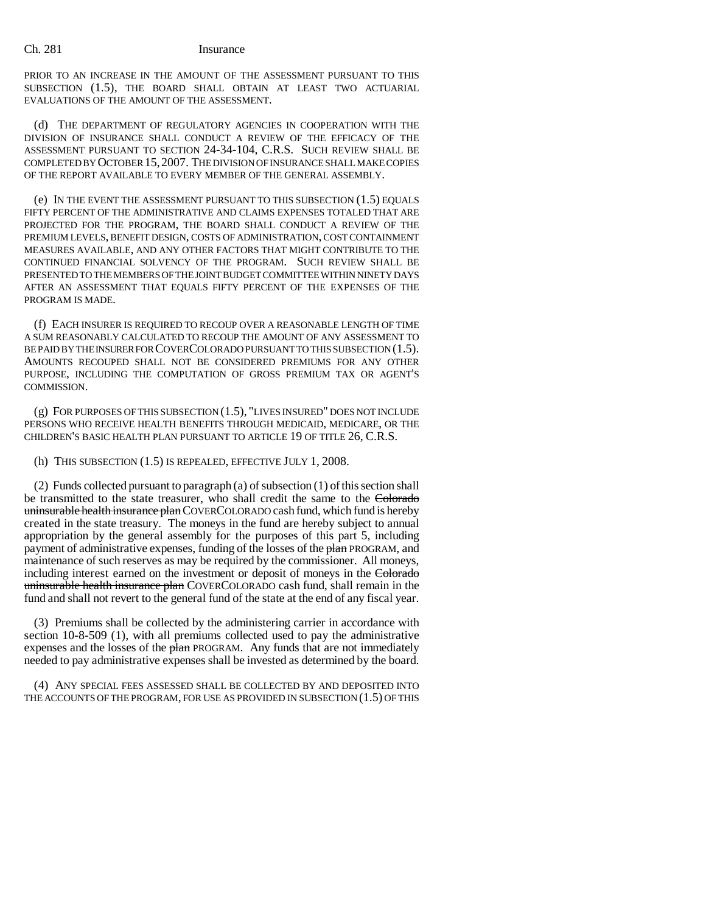PRIOR TO AN INCREASE IN THE AMOUNT OF THE ASSESSMENT PURSUANT TO THIS SUBSECTION (1.5), THE BOARD SHALL OBTAIN AT LEAST TWO ACTUARIAL EVALUATIONS OF THE AMOUNT OF THE ASSESSMENT.

(d) THE DEPARTMENT OF REGULATORY AGENCIES IN COOPERATION WITH THE DIVISION OF INSURANCE SHALL CONDUCT A REVIEW OF THE EFFICACY OF THE ASSESSMENT PURSUANT TO SECTION 24-34-104, C.R.S. SUCH REVIEW SHALL BE COMPLETED BY OCTOBER 15,2007. THE DIVISION OF INSURANCE SHALL MAKE COPIES OF THE REPORT AVAILABLE TO EVERY MEMBER OF THE GENERAL ASSEMBLY.

(e) IN THE EVENT THE ASSESSMENT PURSUANT TO THIS SUBSECTION (1.5) EQUALS FIFTY PERCENT OF THE ADMINISTRATIVE AND CLAIMS EXPENSES TOTALED THAT ARE PROJECTED FOR THE PROGRAM, THE BOARD SHALL CONDUCT A REVIEW OF THE PREMIUM LEVELS, BENEFIT DESIGN, COSTS OF ADMINISTRATION, COST CONTAINMENT MEASURES AVAILABLE, AND ANY OTHER FACTORS THAT MIGHT CONTRIBUTE TO THE CONTINUED FINANCIAL SOLVENCY OF THE PROGRAM. SUCH REVIEW SHALL BE PRESENTED TO THE MEMBERS OF THE JOINT BUDGET COMMITTEE WITHIN NINETY DAYS AFTER AN ASSESSMENT THAT EQUALS FIFTY PERCENT OF THE EXPENSES OF THE PROGRAM IS MADE.

(f) EACH INSURER IS REQUIRED TO RECOUP OVER A REASONABLE LENGTH OF TIME A SUM REASONABLY CALCULATED TO RECOUP THE AMOUNT OF ANY ASSESSMENT TO BE PAID BY THE INSURER FOR COVERCOLORADO PURSUANT TO THIS SUBSECTION (1.5). AMOUNTS RECOUPED SHALL NOT BE CONSIDERED PREMIUMS FOR ANY OTHER PURPOSE, INCLUDING THE COMPUTATION OF GROSS PREMIUM TAX OR AGENT'S COMMISSION.

(g) FOR PURPOSES OF THIS SUBSECTION (1.5), "LIVES INSURED" DOES NOT INCLUDE PERSONS WHO RECEIVE HEALTH BENEFITS THROUGH MEDICAID, MEDICARE, OR THE CHILDREN'S BASIC HEALTH PLAN PURSUANT TO ARTICLE 19 OF TITLE 26, C.R.S.

(h) THIS SUBSECTION (1.5) IS REPEALED, EFFECTIVE JULY 1, 2008.

(2) Funds collected pursuant to paragraph (a) of subsection (1) of this section shall be transmitted to the state treasurer, who shall credit the same to the Colorado uninsurable health insurance plan COVERCOLORADO cash fund, which fund is hereby created in the state treasury. The moneys in the fund are hereby subject to annual appropriation by the general assembly for the purposes of this part 5, including payment of administrative expenses, funding of the losses of the plan PROGRAM, and maintenance of such reserves as may be required by the commissioner. All moneys, including interest earned on the investment or deposit of moneys in the Colorado uninsurable health insurance plan COVERCOLORADO cash fund, shall remain in the fund and shall not revert to the general fund of the state at the end of any fiscal year.

(3) Premiums shall be collected by the administering carrier in accordance with section 10-8-509 (1), with all premiums collected used to pay the administrative expenses and the losses of the plan PROGRAM. Any funds that are not immediately needed to pay administrative expenses shall be invested as determined by the board.

(4) ANY SPECIAL FEES ASSESSED SHALL BE COLLECTED BY AND DEPOSITED INTO THE ACCOUNTS OF THE PROGRAM, FOR USE AS PROVIDED IN SUBSECTION (1.5) OF THIS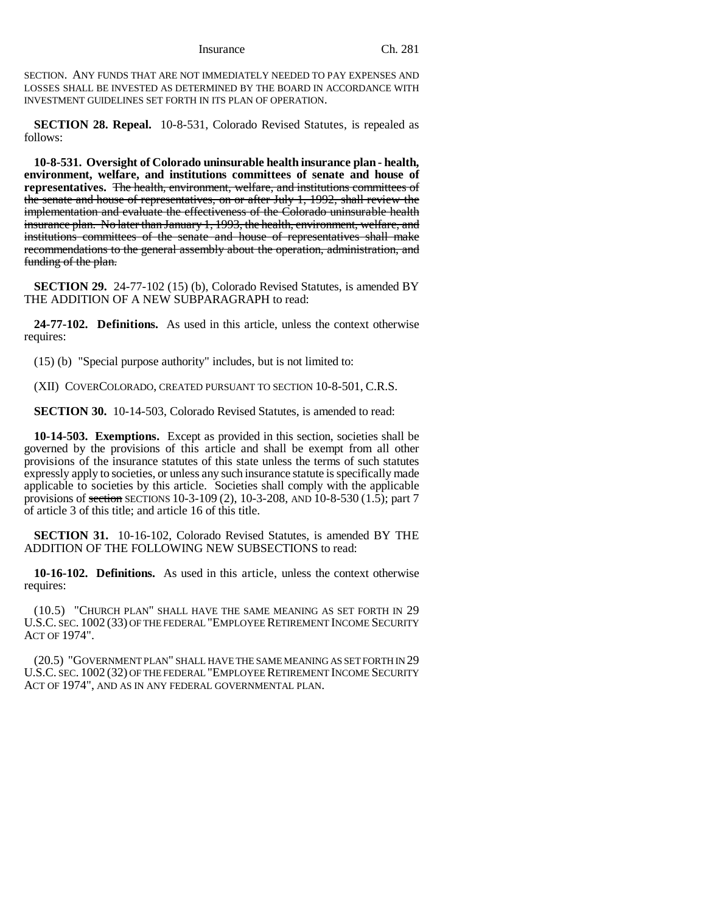SECTION. ANY FUNDS THAT ARE NOT IMMEDIATELY NEEDED TO PAY EXPENSES AND LOSSES SHALL BE INVESTED AS DETERMINED BY THE BOARD IN ACCORDANCE WITH INVESTMENT GUIDELINES SET FORTH IN ITS PLAN OF OPERATION.

**SECTION 28. Repeal.** 10-8-531, Colorado Revised Statutes, is repealed as follows:

**10-8-531. Oversight of Colorado uninsurable health insurance plan - health, environment, welfare, and institutions committees of senate and house of representatives.** The health, environment, welfare, and institutions committees of the senate and house of representatives, on or after July 1, 1992, shall review the implementation and evaluate the effectiveness of the Colorado uninsurable health insurance plan. No later than January 1, 1993, the health, environment, welfare, and institutions committees of the senate and house of representatives shall make recommendations to the general assembly about the operation, administration, and funding of the plan.

**SECTION 29.** 24-77-102 (15) (b), Colorado Revised Statutes, is amended BY THE ADDITION OF A NEW SUBPARAGRAPH to read:

**24-77-102. Definitions.** As used in this article, unless the context otherwise requires:

(15) (b) "Special purpose authority" includes, but is not limited to:

(XII) COVERCOLORADO, CREATED PURSUANT TO SECTION 10-8-501, C.R.S.

**SECTION 30.** 10-14-503, Colorado Revised Statutes, is amended to read:

**10-14-503. Exemptions.** Except as provided in this section, societies shall be governed by the provisions of this article and shall be exempt from all other provisions of the insurance statutes of this state unless the terms of such statutes expressly apply to societies, or unless any such insurance statute is specifically made applicable to societies by this article. Societies shall comply with the applicable provisions of <del>section</del> SECTIONS 10-3-109 (2), 10-3-208, AND 10-8-530 (1.5); part 7 of article 3 of this title; and article 16 of this title.

**SECTION 31.** 10-16-102, Colorado Revised Statutes, is amended BY THE ADDITION OF THE FOLLOWING NEW SUBSECTIONS to read:

**10-16-102. Definitions.** As used in this article, unless the context otherwise requires:

(10.5) "CHURCH PLAN" SHALL HAVE THE SAME MEANING AS SET FORTH IN 29 U.S.C. SEC. 1002 (33) OF THE FEDERAL "EMPLOYEE RETIREMENT INCOME SECURITY ACT OF 1974".

(20.5) "GOVERNMENT PLAN" SHALL HAVE THE SAME MEANING AS SET FORTH IN 29 U.S.C. SEC. 1002 (32) OF THE FEDERAL "EMPLOYEE RETIREMENT INCOME SECURITY ACT OF 1974", AND AS IN ANY FEDERAL GOVERNMENTAL PLAN.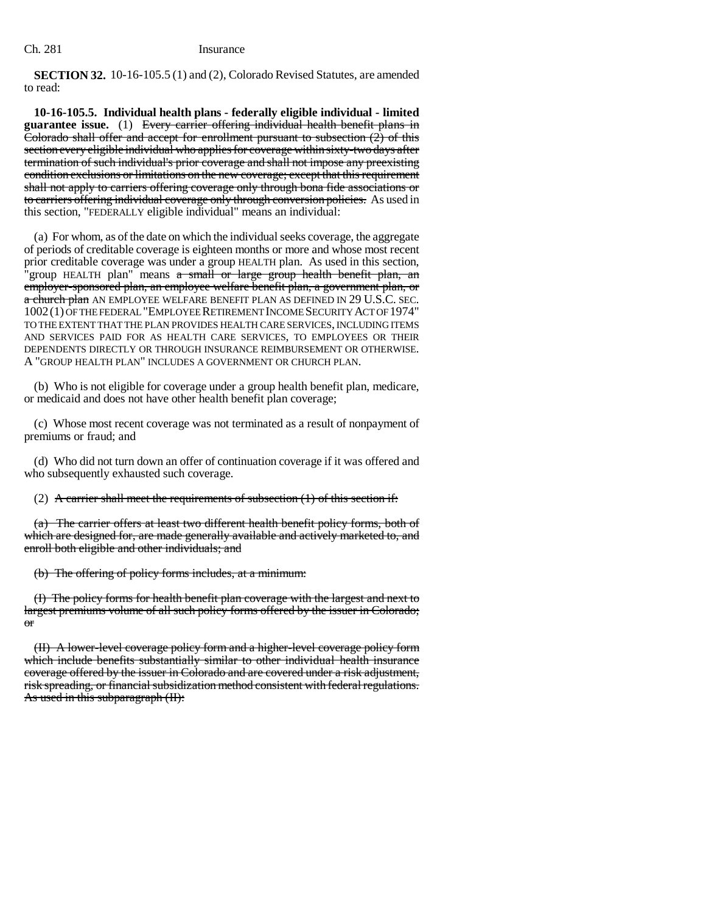**SECTION 32.** 10-16-105.5 (1) and (2), Colorado Revised Statutes, are amended to read:

**10-16-105.5. Individual health plans - federally eligible individual - limited guarantee issue.** (1) Every carrier offering individual health benefit plans in Colorado shall offer and accept for enrollment pursuant to subsection  $(2)$  of this section every eligible individual who applies for coverage within sixty-two days after termination of such individual's prior coverage and shall not impose any preexisting condition exclusions or limitations on the new coverage; except that this requirement shall not apply to carriers offering coverage only through bona fide associations or to carriers offering individual coverage only through conversion policies. As used in this section, "FEDERALLY eligible individual" means an individual:

(a) For whom, as of the date on which the individual seeks coverage, the aggregate of periods of creditable coverage is eighteen months or more and whose most recent prior creditable coverage was under a group HEALTH plan. As used in this section, 'group HEALTH plan" means a small or large group health benefit plan, an employer-sponsored plan, an employee welfare benefit plan, a government plan, or a church plan AN EMPLOYEE WELFARE BENEFIT PLAN AS DEFINED IN 29 U.S.C. SEC. 1002(1) OF THE FEDERAL "EMPLOYEE RETIREMENT INCOME SECURITY ACT OF 1974" TO THE EXTENT THAT THE PLAN PROVIDES HEALTH CARE SERVICES, INCLUDING ITEMS AND SERVICES PAID FOR AS HEALTH CARE SERVICES, TO EMPLOYEES OR THEIR DEPENDENTS DIRECTLY OR THROUGH INSURANCE REIMBURSEMENT OR OTHERWISE. A "GROUP HEALTH PLAN" INCLUDES A GOVERNMENT OR CHURCH PLAN.

(b) Who is not eligible for coverage under a group health benefit plan, medicare, or medicaid and does not have other health benefit plan coverage;

(c) Whose most recent coverage was not terminated as a result of nonpayment of premiums or fraud; and

(d) Who did not turn down an offer of continuation coverage if it was offered and who subsequently exhausted such coverage.

(2) A carrier shall meet the requirements of subsection  $(1)$  of this section if:

(a) The carrier offers at least two different health benefit policy forms, both of which are designed for, are made generally available and actively marketed to, and enroll both eligible and other individuals; and

(b) The offering of policy forms includes, at a minimum:

(I) The policy forms for health benefit plan coverage with the largest and next to largest premiums volume of all such policy forms offered by the issuer in Colorado; or

(II) A lower-level coverage policy form and a higher-level coverage policy form which include benefits substantially similar to other individual health insurance coverage offered by the issuer in Colorado and are covered under a risk adjustment, risk spreading, or financial subsidization method consistent with federal regulations. As used in this subparagraph (II):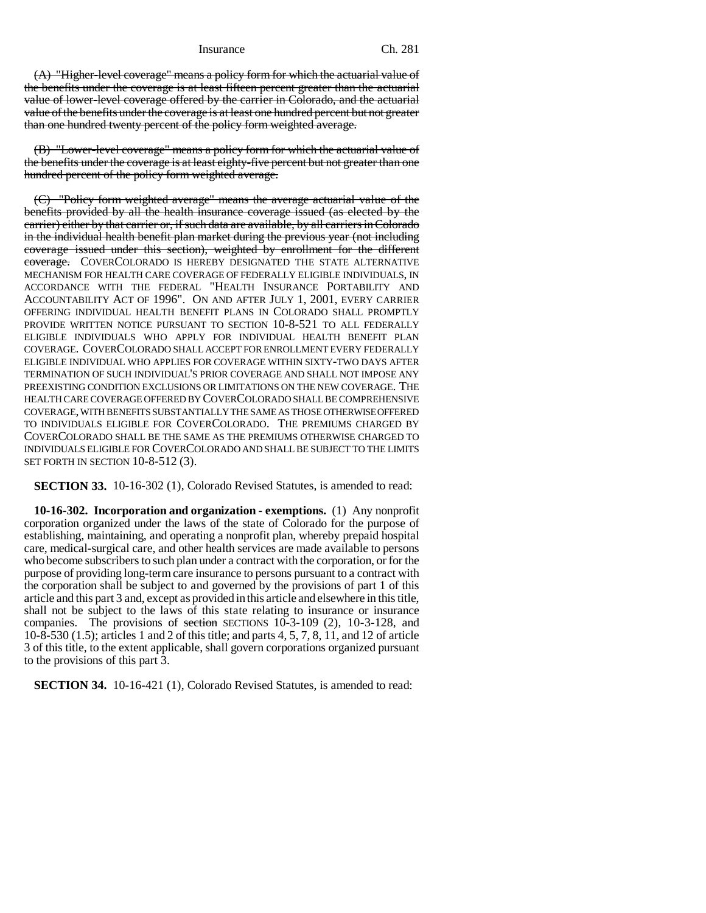(A) "Higher-level coverage" means a policy form for which the actuarial value of the benefits under the coverage is at least fifteen percent greater than the actuarial value of lower-level coverage offered by the carrier in Colorado, and the actuarial value of the benefits under the coverage is at least one hundred percent but not greater than one hundred twenty percent of the policy form weighted average.

(B) "Lower-level coverage" means a policy form for which the actuarial value of the benefits under the coverage is at least eighty-five percent but not greater than one hundred percent of the policy form weighted average.

(C) "Policy form weighted average" means the average actuarial value of the benefits provided by all the health insurance coverage issued (as elected by the carrier) either by that carrier or, if such data are available, by all carriers in Colorado in the individual health benefit plan market during the previous year (not including coverage issued under this section), weighted by enrollment for the different coverage. COVER COLORADO IS HEREBY DESIGNATED THE STATE ALTERNATIVE MECHANISM FOR HEALTH CARE COVERAGE OF FEDERALLY ELIGIBLE INDIVIDUALS, IN ACCORDANCE WITH THE FEDERAL "HEALTH INSURANCE PORTABILITY AND ACCOUNTABILITY ACT OF 1996". ON AND AFTER JULY 1, 2001, EVERY CARRIER OFFERING INDIVIDUAL HEALTH BENEFIT PLANS IN COLORADO SHALL PROMPTLY PROVIDE WRITTEN NOTICE PURSUANT TO SECTION 10-8-521 TO ALL FEDERALLY ELIGIBLE INDIVIDUALS WHO APPLY FOR INDIVIDUAL HEALTH BENEFIT PLAN COVERAGE. COVERCOLORADO SHALL ACCEPT FOR ENROLLMENT EVERY FEDERALLY ELIGIBLE INDIVIDUAL WHO APPLIES FOR COVERAGE WITHIN SIXTY-TWO DAYS AFTER TERMINATION OF SUCH INDIVIDUAL'S PRIOR COVERAGE AND SHALL NOT IMPOSE ANY PREEXISTING CONDITION EXCLUSIONS OR LIMITATIONS ON THE NEW COVERAGE. THE HEALTH CARE COVERAGE OFFERED BY COVERCOLORADO SHALL BE COMPREHENSIVE COVERAGE, WITH BENEFITS SUBSTANTIALLY THE SAME AS THOSE OTHERWISE OFFERED TO INDIVIDUALS ELIGIBLE FOR COVERCOLORADO. THE PREMIUMS CHARGED BY COVERCOLORADO SHALL BE THE SAME AS THE PREMIUMS OTHERWISE CHARGED TO INDIVIDUALS ELIGIBLE FOR COVERCOLORADO AND SHALL BE SUBJECT TO THE LIMITS SET FORTH IN SECTION 10-8-512 (3).

**SECTION 33.** 10-16-302 (1), Colorado Revised Statutes, is amended to read:

**10-16-302. Incorporation and organization - exemptions.** (1) Any nonprofit corporation organized under the laws of the state of Colorado for the purpose of establishing, maintaining, and operating a nonprofit plan, whereby prepaid hospital care, medical-surgical care, and other health services are made available to persons who become subscribers to such plan under a contract with the corporation, or for the purpose of providing long-term care insurance to persons pursuant to a contract with the corporation shall be subject to and governed by the provisions of part 1 of this article and this part 3 and, except as provided in this article and elsewhere in this title, shall not be subject to the laws of this state relating to insurance or insurance companies. The provisions of section SECTIONS 10-3-109  $(2)$ , 10-3-128, and 10-8-530 (1.5); articles 1 and 2 of this title; and parts 4, 5, 7, 8, 11, and 12 of article 3 of this title, to the extent applicable, shall govern corporations organized pursuant to the provisions of this part 3.

**SECTION 34.** 10-16-421 (1), Colorado Revised Statutes, is amended to read: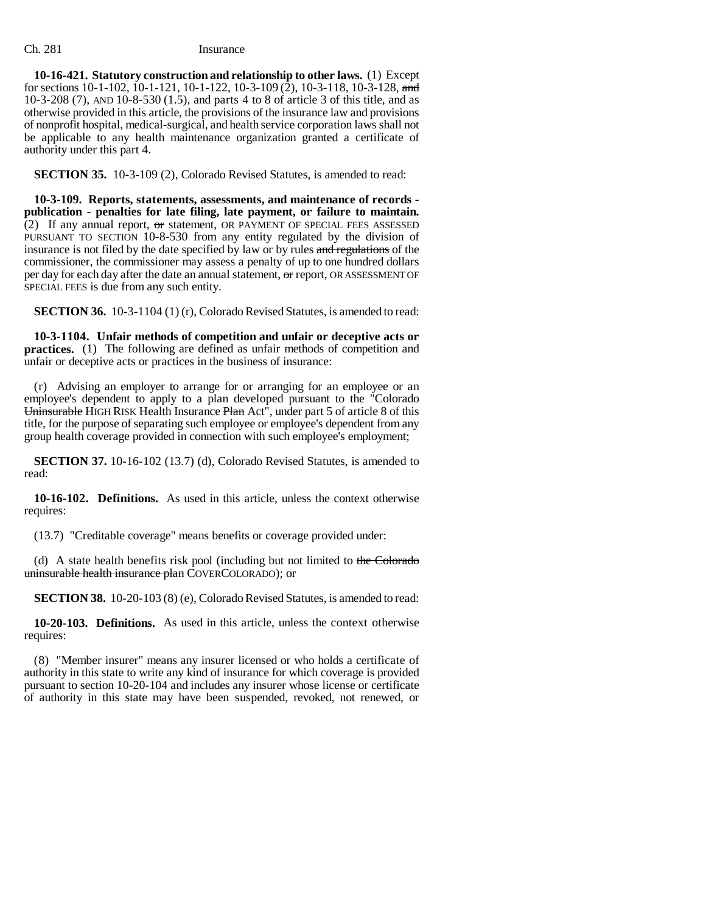**10-16-421. Statutory construction and relationship to other laws.** (1) Except for sections  $10-1-102$ ,  $10-1-121$ ,  $10-1-122$ ,  $10-3-109$  (2),  $10-3-118$ ,  $10-3-128$ , and 10-3-208 (7), AND 10-8-530 (1.5), and parts 4 to 8 of article 3 of this title, and as otherwise provided in this article, the provisions of the insurance law and provisions of nonprofit hospital, medical-surgical, and health service corporation laws shall not be applicable to any health maintenance organization granted a certificate of authority under this part 4.

**SECTION 35.** 10-3-109 (2), Colorado Revised Statutes, is amended to read:

**10-3-109. Reports, statements, assessments, and maintenance of records publication - penalties for late filing, late payment, or failure to maintain.** (2) If any annual report,  $\sigma$ r statement, OR PAYMENT OF SPECIAL FEES ASSESSED PURSUANT TO SECTION 10-8-530 from any entity regulated by the division of insurance is not filed by the date specified by law or by rules and regulations of the commissioner, the commissioner may assess a penalty of up to one hundred dollars per day for each day after the date an annual statement, or report, OR ASSESSMENT OF SPECIAL FEES is due from any such entity.

**SECTION 36.** 10-3-1104 (1) (r), Colorado Revised Statutes, is amended to read:

**10-3-1104. Unfair methods of competition and unfair or deceptive acts or practices.** (1) The following are defined as unfair methods of competition and unfair or deceptive acts or practices in the business of insurance:

(r) Advising an employer to arrange for or arranging for an employee or an employee's dependent to apply to a plan developed pursuant to the "Colorado Uninsurable HIGH RISK Health Insurance Plan Act<sup>"</sup>, under part 5 of article 8 of this title, for the purpose of separating such employee or employee's dependent from any group health coverage provided in connection with such employee's employment;

**SECTION 37.** 10-16-102 (13.7) (d), Colorado Revised Statutes, is amended to read:

**10-16-102. Definitions.** As used in this article, unless the context otherwise requires:

(13.7) "Creditable coverage" means benefits or coverage provided under:

(d) A state health benefits risk pool (including but not limited to the Colorado uninsurable health insurance plan COVERCOLORADO); or

**SECTION 38.** 10-20-103 (8) (e), Colorado Revised Statutes, is amended to read:

**10-20-103. Definitions.** As used in this article, unless the context otherwise requires:

(8) "Member insurer" means any insurer licensed or who holds a certificate of authority in this state to write any kind of insurance for which coverage is provided pursuant to section 10-20-104 and includes any insurer whose license or certificate of authority in this state may have been suspended, revoked, not renewed, or